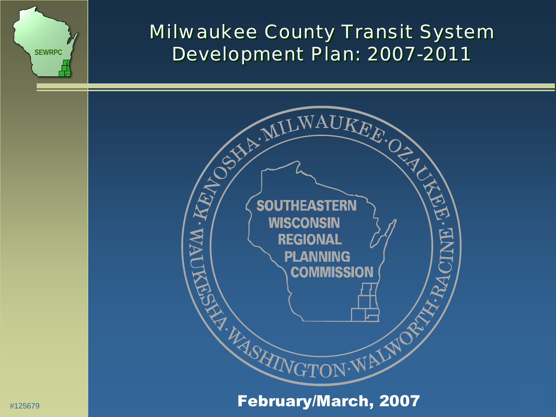

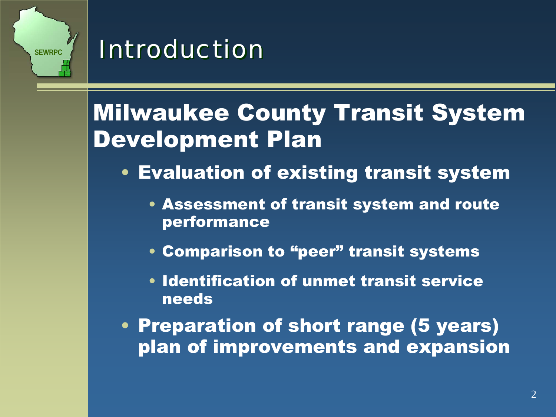

## *Introduction Introduction*

## Milwaukee County Transit System Development Plan

- Evaluation of existing transit system
	- Assessment of transit system and route performance
	- Comparison to "peer" transit systems
	- Identification of unmet transit service needs
- Preparation of short range (5 years) plan of improvements and expansion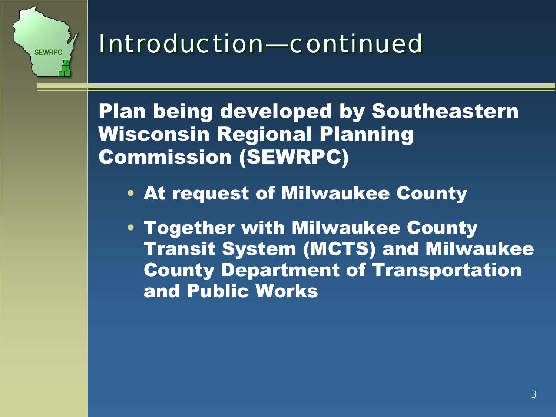

## *Introduction—continued Introduction—continued*

Plan being developed by Southeastern Wisconsin Regional Planning Commission (SEWRPC)

- At request of Milwaukee County
- Together with Milwaukee County Transit System (MCTS) and Milwaukee County Department of Transportation and Public Works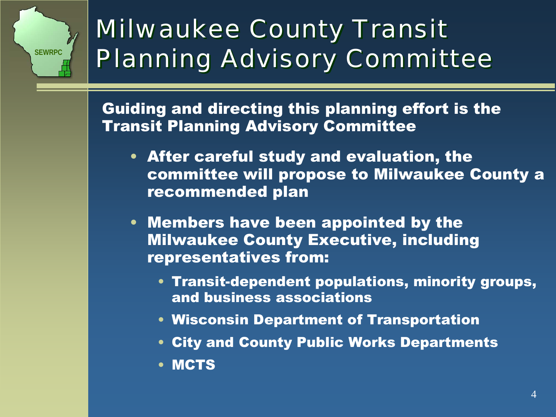

## *Milwaukee County Transit Milwaukee County Transit Planning Advisory Committee Planning Advisory Committee*

Guiding and directing this planning effort is the Transit Planning Advisory Committee

- After careful study and evaluation, the committee will propose to Milwaukee County a recommended plan
- Members have been appointed by the Milwaukee County Executive, including representatives from:
	- Transit-dependent populations, minority groups, and business associations
	- Wisconsin Department of Transportation
	- City and County Public Works Departments
	- MCTS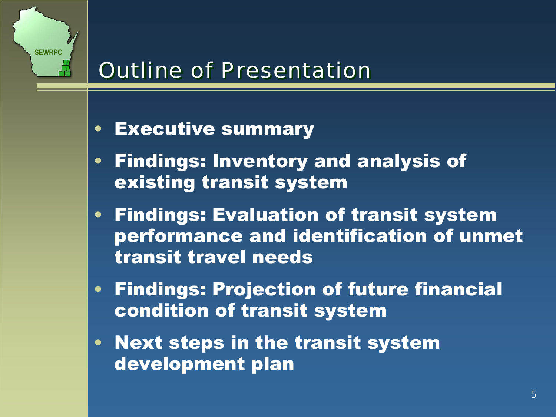

## *Outline of Presentation Outline of Presentation*

#### •Executive summary

- • Findings: Inventory and analysis of existing transit system
- Findings: Evaluation of transit system performance and identification of unmet transit travel needs
- Findings: Projection of future financial condition of transit system
- Next steps in the transit system development plan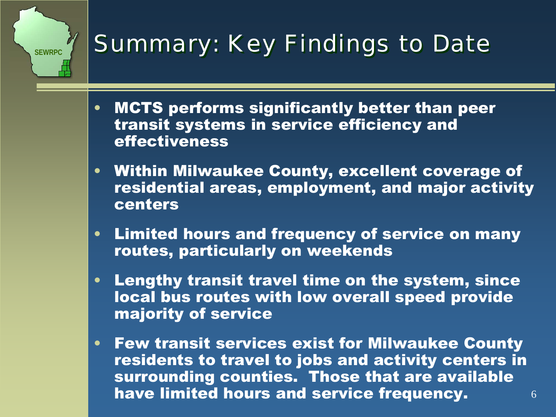## **Summary: Key Findings to Date**

**SEWRPC**

- • MCTS performs significantly better than peer transit systems in service efficiency and effectiveness
- Within Milwaukee County, excellent coverage of residential areas, employment, and major activity centers
- $\bullet$  Limited hours and frequency of service on many routes, particularly on weekends
- Lengthy transit travel time on the system, since local bus routes with low overall speed provide majority of service
- 6• Few transit services exist for Milwaukee County residents to travel to jobs and activity centers in surrounding counties. Those that are available have limited hours and service frequency.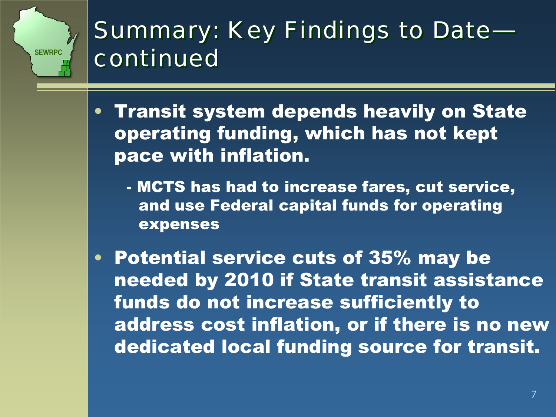## *Summary: Key Findings to Date— Summary: Key Findings to Date continued continued*

**SEWRPC**

• Transit system depends heavily on State operating funding, which has not kept pace with inflation.

- MCTS has had to increase fares, cut service, and use Federal capital funds for operating expenses

• Potential service cuts of 35% may be needed by 2010 if State transit assistance funds do not increase sufficiently to address cost inflation, or if there is no new dedicated local funding source for transit.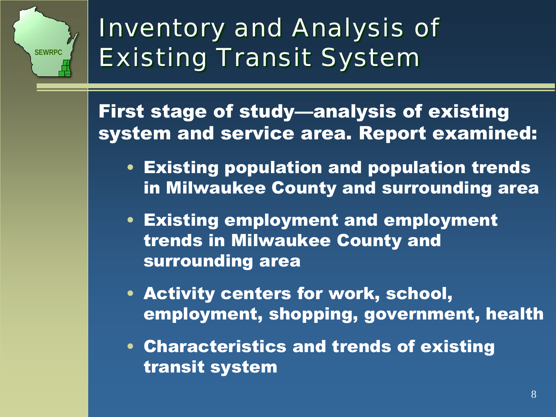

## *Inventory and Analysis of Inventory and Analysis of Existing Transit System Existing Transit System*

First stage of study—analysis of existing system and service area. Report examined:

- Existing population and population trends in Milwaukee County and surrounding area
- Existing employment and employment trends in Milwaukee County and surrounding area
- Activity centers for work, school, employment, shopping, government, health
- Characteristics and trends of existing transit system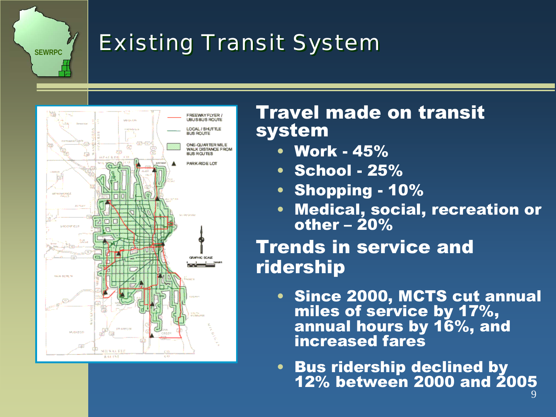## *Existing Transit System Existing Transit System*



**SEWRPC**

### Travel made on transit system

- Work 45%
- School 25%
- Shopping 10%
- Medical, social, recreation or other  $-20\%$

## Trends in service and ridership

- Since 2000, MCTS cut annual miles of service by 17%, annual hours by 16%, and increased fares
- Bus ridership declined by 12% between 2000 and 2005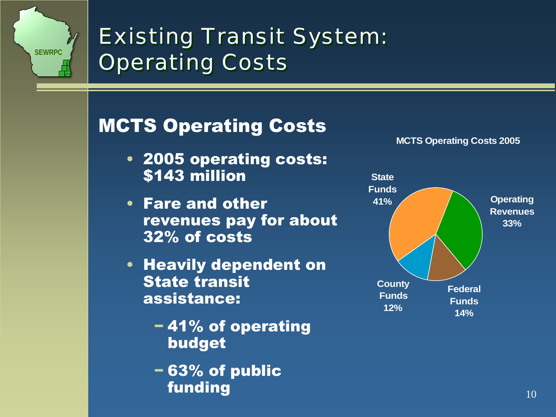

## *Existing Transit System: Existing Transit System: Operating Costs Operating Costs*

## MCTS Operating Costs

- 2005 operating costs: \$143 million
- Fare and other revenues pay for about 32% of costs
- Heavily dependent on State transit assistance:
	- − 41% of operating budget
	- − 63% of public funding



**MCTS Operating Costs 2005**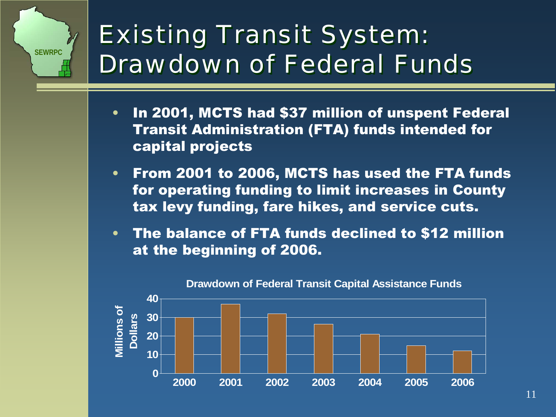## *Existing Transit System: Existing Transit System: Drawdown of Federal FundsDrawdown of Federal Funds*

- • In 2001, MCTS had \$37 million of unspent Federal Transit Administration (FTA) funds intended for capital projects
- • From 2001 to 2006, MCTS has used the FTA funds for operating funding to limit increases in County tax levy funding, fare hikes, and service cuts.
- • The balance of FTA funds declined to \$12 million at the beginning of 2006.



#### **Drawdown of Federal Transit Capital Assistance Funds**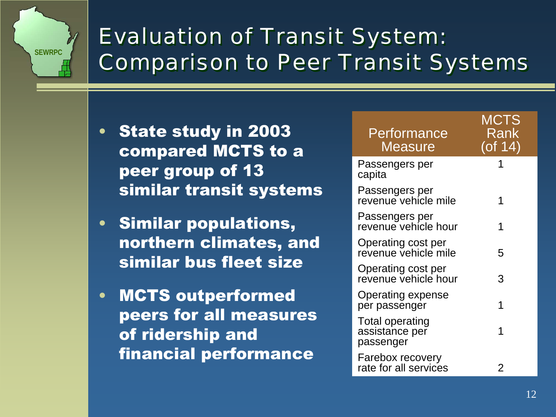

## *Evaluation of Transit System: Evaluation of Transit System: Comparison to Peer Transit Systems Comparison to Peer Transit Systems*

- • State study in 2003 compared MCTS to a peer group of 13 similar transit systems
- Similar populations, northern climates, and similar bus fleet size
- • MCTS outperformed peers for all measures of ridership and financial performance

| Performance<br>Measure                         | MCTS<br>Rank<br>(of 14) |
|------------------------------------------------|-------------------------|
| Passengers per<br>capita                       |                         |
| Passengers per<br>revenue vehicle mile         |                         |
| Passengers per<br>revenue vehicle hour         | 1                       |
| Operating cost per<br>revenue vehicle mile     | 5                       |
| Operating cost per<br>revenue vehicle hour     | 3                       |
| <b>Operating expense</b><br>per passenger      | 1                       |
| Total operating<br>assistance per<br>passenger |                         |
| Farebox recovery<br>rate for all services      | 2                       |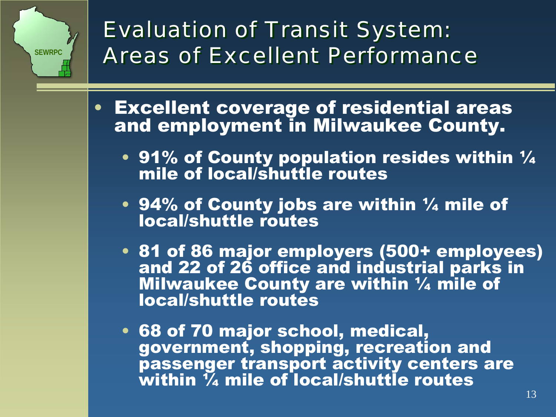

## *Evaluation of Transit System: Evaluation of Transit System: Areas of Excellent PerformanceAreas of Excellent Performance*

- • Excellent coverage of residential areas and employment in Milwaukee County.
	- 91% of County population resides within  $\frac{1}{4}$ mile of local/shuttle routes
	- 94% of County jobs are within  $\mathcal{V}_4$  mile of local/shuttle routes
	- 81 of 86 major employers (500+ employees) and 22 of 26 office and industrial parks in Milwaukee County are within ¼ mile of local/shuttle routes
	- 68 of 70 major school, medical, government, shopping, recreation and passenger transport activity centers are within ¼ mile of local/shuttle routes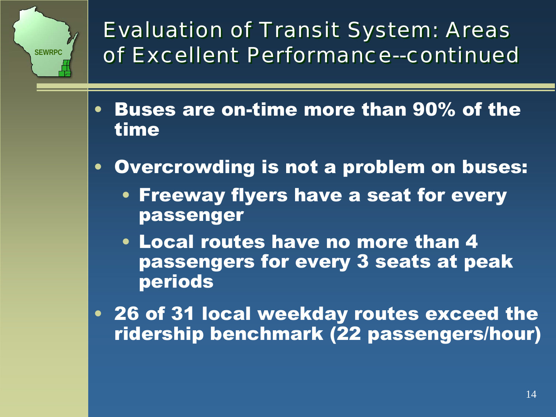

*Evaluation of Transit System: Areas Evaluation of Transit System: Areas of Excellent Performance--continuedof Excellent Performance--continued*

- • Buses are on-time more than 90% of the time
- • Overcrowding is not a problem on buses:
	- Freeway flyers have a seat for every passenger
	- Local routes have no more than 4 passengers for every 3 seats at peak periods
- 26 of 31 local weekday routes exceed the ridership benchmark (22 passengers/hour)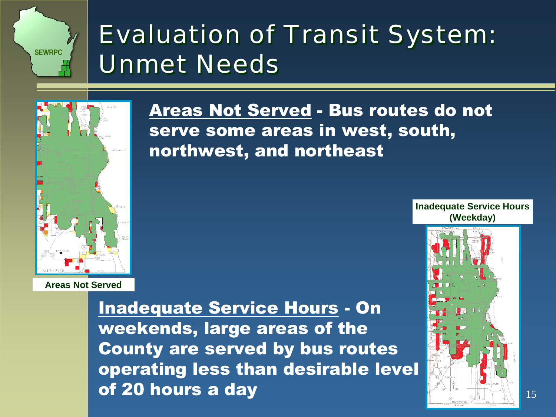## *Evaluation of Transit System: Evaluation of Transit System: Unmet NeedsUnmet Needs*

serve some areas in west, south,

northwest, and northeast

Areas Not Served - Bus routes do not



**Areas Not Served**

Inadequate Service Hours - On weekends, large areas of the County are served by bus routes operating less than desirable level of 20 hours a day

**Inadequate Service Hours (Weekday)**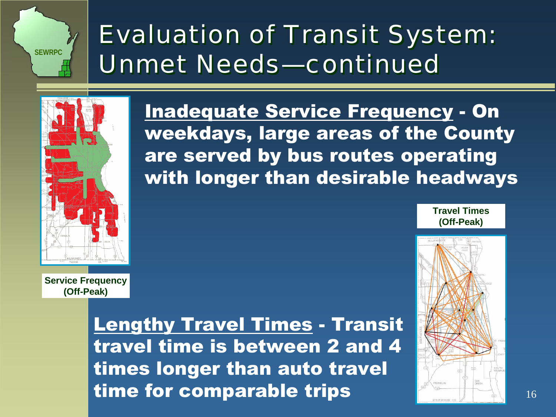## *Evaluation of Transit System: Evaluation of Transit System: Unmet Needs—continuedUnmet Needs—continued*



**Service Frequency (Off-Peak)**

> Lengthy Travel Times - Transit travel time is between 2 and 4 times longer than auto travel time for comparable trips

Inadequate Service Frequency - On weekdays, large areas of the County are served by bus routes operating with longer than desirable headways

> **Travel Times(Off-Peak)**

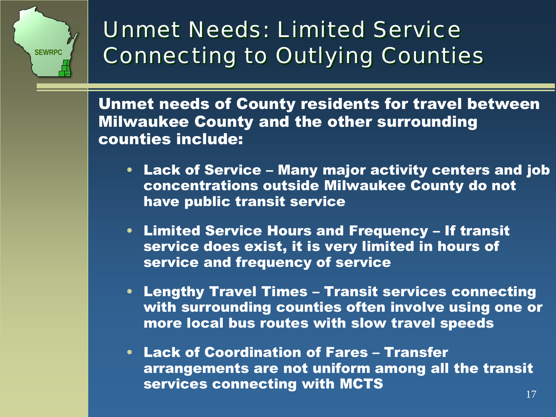

## *Unmet Needs: Limited Service Unmet Needs: Limited Service Connecting to Outlying Counties Connecting to Outlying Counties*

Unmet needs of County residents for travel between Milwaukee County and the other surrounding counties include:

- Lack of Service Many major activity centers and job concentrations outside Milwaukee County do not have public transit service
- Limited Service Hours and Frequency If transit service does exist, it is very limited in hours of service and frequency of service
- Lengthy Travel Times Transit services connecting with surrounding counties often involve using one or more local bus routes with slow travel speeds
- Lack of Coordination of Fares Transfer arrangements are not uniform among all the transit services connecting with MCTS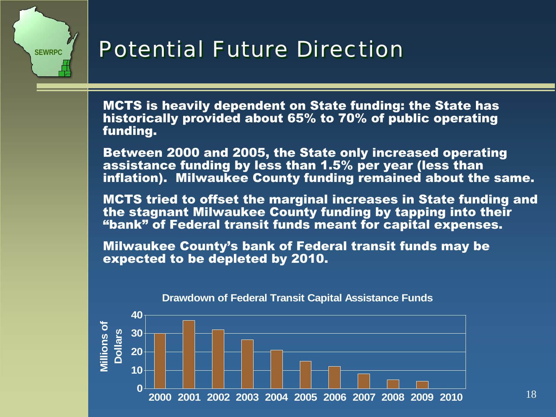## *Potential Future Direction Potential Future Direction*

MCTS is heavily dependent on State funding: the State has historically provided about 65% to 70% of public operating funding.

Between 2000 and 2005, the State only increased operating assistance funding by less than 1.5% per year (less than inflation). Milwaukee County funding remained about the same.

MCTS tried to offset the marginal increases in State funding and the stagnant Milwaukee County funding by tapping into their "bank" of Federal transit funds meant for capital expenses.

Milwaukee County's bank of Federal transit funds may be expected to be depleted by 2010.



**Drawdown of Federal Transit Capital Assistance Funds**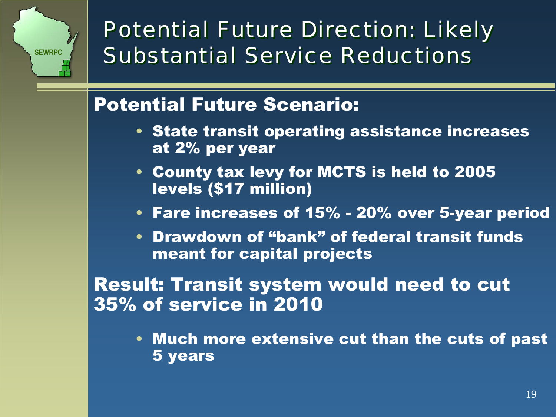

*Potential Future Direction: Likely Potential Future Direction: Likely Substantial Service ReductionsSubstantial Service Reductions*

## Potential Future Scenario:

- State transit operating assistance increases at 2% per year
- County tax levy for MCTS is held to 2005 levels (\$17 million)
- Fare increases of 15% 20% over 5-year period
- Drawdown of "bank" of federal transit funds meant for capital projects

Result: Transit system would need to cut 35% of service in 2010

• Much more extensive cut than the cuts of past 5 years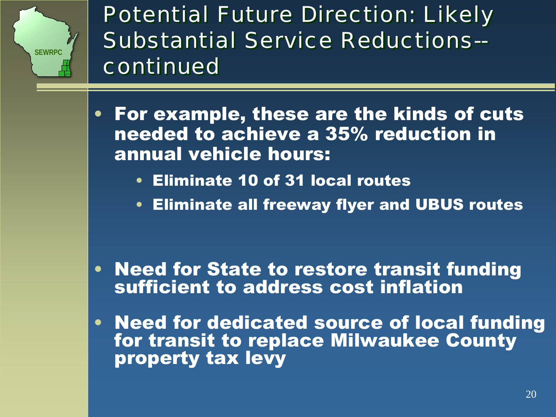

*Potential Future Direction: Likely Potential Future Direction: Likely Substantial Service Reductions--Substantial Service Reductions- continuedcontinued*

- For example, these are the kinds of cuts needed to achieve a 35% reduction in annual vehicle hours:
	- Eliminate 10 of 31 local routes
	- Eliminate all freeway flyer and UBUS routes

- Need for State to restore transit funding sufficient to address cost inflation
- Need for dedicated source of local funding for transit to replace Milwaukee County property tax levy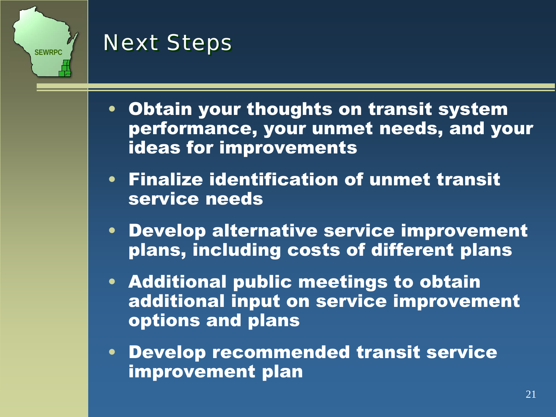

## *Next Steps Next Steps*

- Obtain your thoughts on transit system performance, your unmet needs, and your ideas for improvements
- Finalize identification of unmet transit service needs
- Develop alternative service improvement plans, including costs of different plans
- Additional public meetings to obtain additional input on service improvement options and plans
- Develop recommended transit service improvement plan